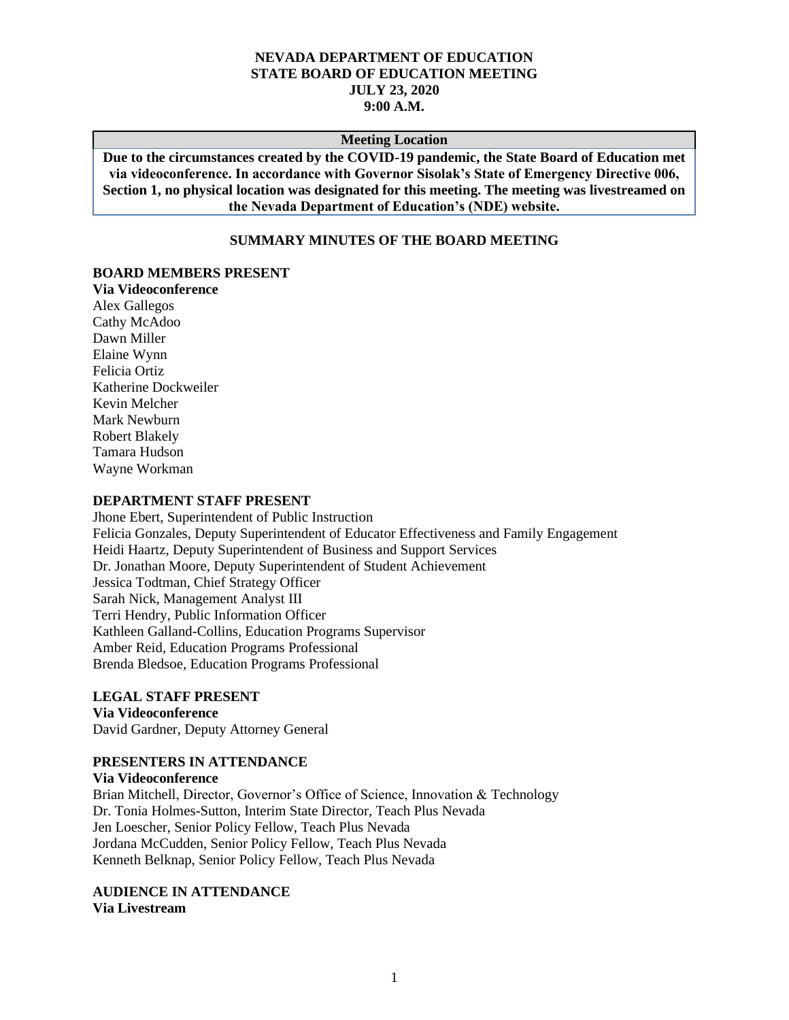#### **NEVADA DEPARTMENT OF EDUCATION STATE BOARD OF EDUCATION MEETING JULY 23, 2020 9:00 A.M.**

#### **Meeting Location**

**Due to the circumstances created by the COVID-19 pandemic, the State Board of Education met via videoconference. In accordance with Governor Sisolak's State of Emergency Directive 006, Section 1, no physical location was designated for this meeting. The meeting was livestreamed on the Nevada Department of Education's (NDE) website.**

### **SUMMARY MINUTES OF THE BOARD MEETING**

#### **BOARD MEMBERS PRESENT**

**Via Videoconference** Alex Gallegos Cathy McAdoo Dawn Miller Elaine Wynn Felicia Ortiz Katherine Dockweiler Kevin Melcher Mark Newburn Robert Blakely Tamara Hudson Wayne Workman

#### **DEPARTMENT STAFF PRESENT**

Jhone Ebert, Superintendent of Public Instruction Felicia Gonzales, Deputy Superintendent of Educator Effectiveness and Family Engagement Heidi Haartz, Deputy Superintendent of Business and Support Services Dr. Jonathan Moore, Deputy Superintendent of Student Achievement Jessica Todtman, Chief Strategy Officer Sarah Nick, Management Analyst III Terri Hendry, Public Information Officer Kathleen Galland-Collins, Education Programs Supervisor Amber Reid, Education Programs Professional Brenda Bledsoe, Education Programs Professional

#### **LEGAL STAFF PRESENT**

#### **Via Videoconference**

David Gardner, Deputy Attorney General

#### **PRESENTERS IN ATTENDANCE**

**Via Videoconference**

Brian Mitchell, Director, Governor's Office of Science, Innovation & Technology Dr. Tonia Holmes-Sutton, Interim State Director, Teach Plus Nevada Jen Loescher, Senior Policy Fellow, Teach Plus Nevada Jordana McCudden, Senior Policy Fellow, Teach Plus Nevada Kenneth Belknap, Senior Policy Fellow, Teach Plus Nevada

**AUDIENCE IN ATTENDANCE**

**Via Livestream**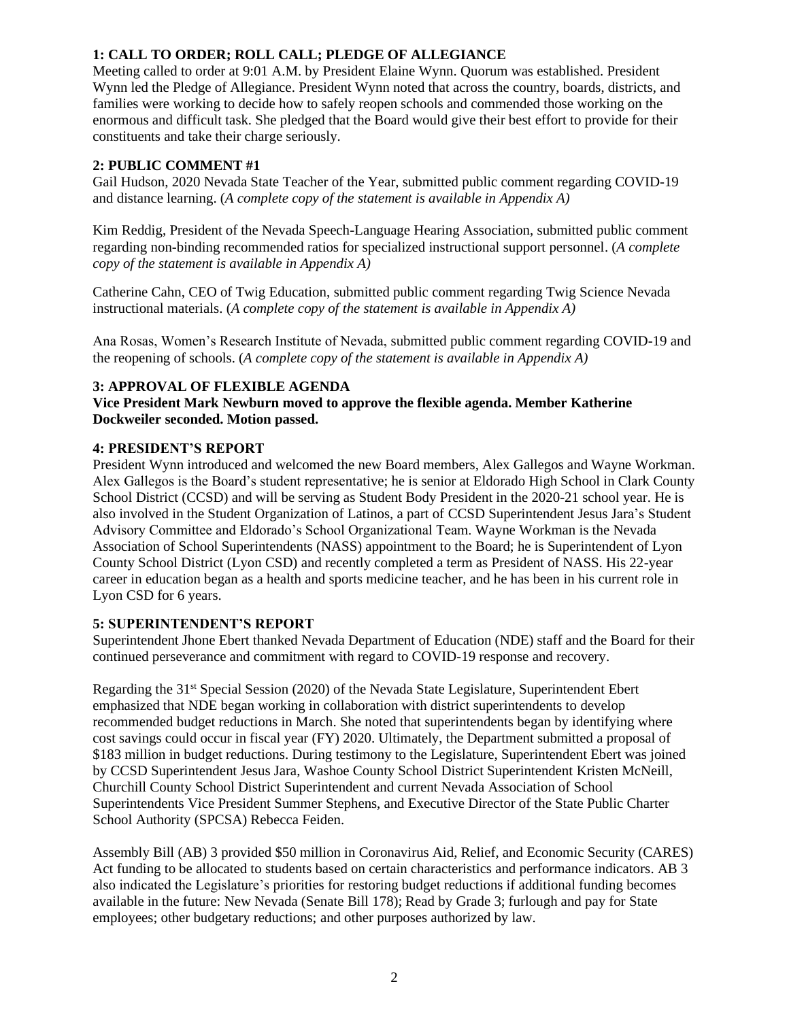# **1: CALL TO ORDER; ROLL CALL; PLEDGE OF ALLEGIANCE**

Meeting called to order at 9:01 A.M. by President Elaine Wynn. Quorum was established. President Wynn led the Pledge of Allegiance. President Wynn noted that across the country, boards, districts, and families were working to decide how to safely reopen schools and commended those working on the enormous and difficult task. She pledged that the Board would give their best effort to provide for their constituents and take their charge seriously.

### **2: PUBLIC COMMENT #1**

Gail Hudson, 2020 Nevada State Teacher of the Year, submitted public comment regarding COVID-19 and distance learning. (*A complete copy of the statement is available in Appendix A)*

Kim Reddig, President of the Nevada Speech-Language Hearing Association, submitted public comment regarding non-binding recommended ratios for specialized instructional support personnel. (*A complete copy of the statement is available in Appendix A)*

Catherine Cahn, CEO of Twig Education, submitted public comment regarding Twig Science Nevada instructional materials. (*A complete copy of the statement is available in Appendix A)*

Ana Rosas, Women's Research Institute of Nevada, submitted public comment regarding COVID-19 and the reopening of schools. (*A complete copy of the statement is available in Appendix A)*

# **3: APPROVAL OF FLEXIBLE AGENDA**

**Vice President Mark Newburn moved to approve the flexible agenda. Member Katherine Dockweiler seconded. Motion passed.** 

#### **4: PRESIDENT'S REPORT**

President Wynn introduced and welcomed the new Board members, Alex Gallegos and Wayne Workman. Alex Gallegos is the Board's student representative; he is senior at Eldorado High School in Clark County School District (CCSD) and will be serving as Student Body President in the 2020-21 school year. He is also involved in the Student Organization of Latinos, a part of CCSD Superintendent Jesus Jara's Student Advisory Committee and Eldorado's School Organizational Team. Wayne Workman is the Nevada Association of School Superintendents (NASS) appointment to the Board; he is Superintendent of Lyon County School District (Lyon CSD) and recently completed a term as President of NASS. His 22-year career in education began as a health and sports medicine teacher, and he has been in his current role in Lyon CSD for 6 years.

### **5: SUPERINTENDENT'S REPORT**

Superintendent Jhone Ebert thanked Nevada Department of Education (NDE) staff and the Board for their continued perseverance and commitment with regard to COVID-19 response and recovery.

Regarding the 31st Special Session (2020) of the Nevada State Legislature, Superintendent Ebert emphasized that NDE began working in collaboration with district superintendents to develop recommended budget reductions in March. She noted that superintendents began by identifying where cost savings could occur in fiscal year (FY) 2020. Ultimately, the Department submitted a proposal of \$183 million in budget reductions. During testimony to the Legislature, Superintendent Ebert was joined by CCSD Superintendent Jesus Jara, Washoe County School District Superintendent Kristen McNeill, Churchill County School District Superintendent and current Nevada Association of School Superintendents Vice President Summer Stephens, and Executive Director of the State Public Charter School Authority (SPCSA) Rebecca Feiden.

Assembly Bill (AB) 3 provided \$50 million in Coronavirus Aid, Relief, and Economic Security (CARES) Act funding to be allocated to students based on certain characteristics and performance indicators. AB 3 also indicated the Legislature's priorities for restoring budget reductions if additional funding becomes available in the future: New Nevada (Senate Bill 178); Read by Grade 3; furlough and pay for State employees; other budgetary reductions; and other purposes authorized by law.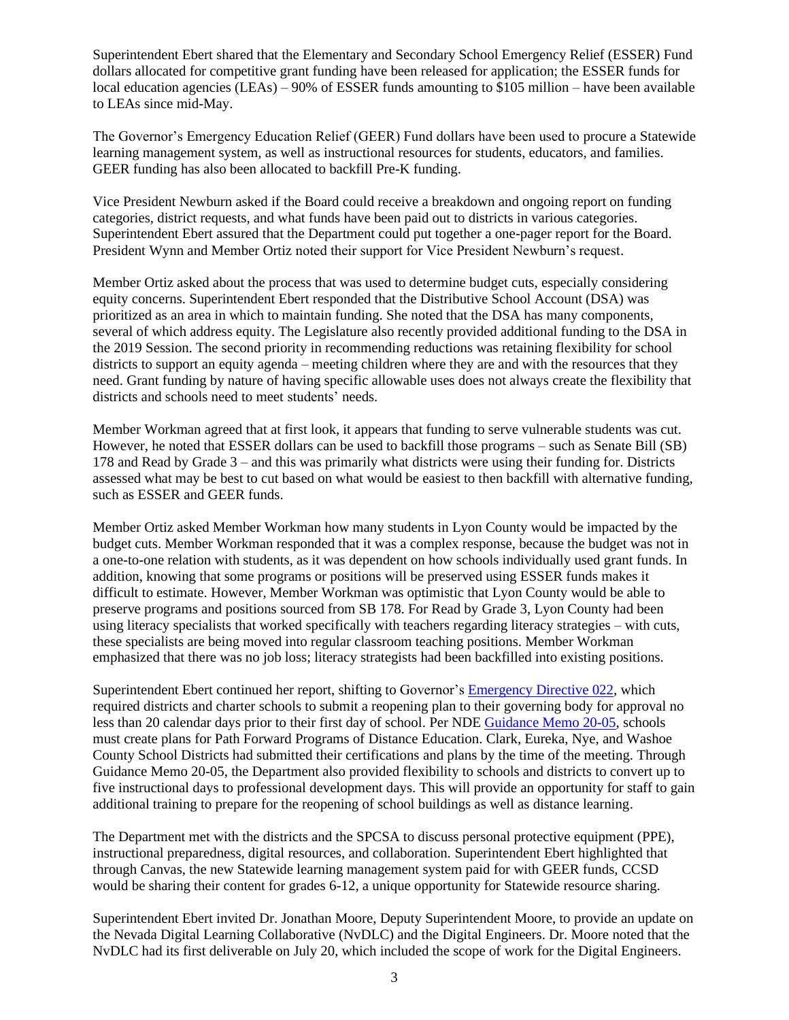Superintendent Ebert shared that the Elementary and Secondary School Emergency Relief (ESSER) Fund dollars allocated for competitive grant funding have been released for application; the ESSER funds for local education agencies (LEAs) – 90% of ESSER funds amounting to \$105 million – have been available to LEAs since mid-May.

The Governor's Emergency Education Relief (GEER) Fund dollars have been used to procure a Statewide learning management system, as well as instructional resources for students, educators, and families. GEER funding has also been allocated to backfill Pre-K funding.

Vice President Newburn asked if the Board could receive a breakdown and ongoing report on funding categories, district requests, and what funds have been paid out to districts in various categories. Superintendent Ebert assured that the Department could put together a one-pager report for the Board. President Wynn and Member Ortiz noted their support for Vice President Newburn's request.

Member Ortiz asked about the process that was used to determine budget cuts, especially considering equity concerns. Superintendent Ebert responded that the Distributive School Account (DSA) was prioritized as an area in which to maintain funding. She noted that the DSA has many components, several of which address equity. The Legislature also recently provided additional funding to the DSA in the 2019 Session. The second priority in recommending reductions was retaining flexibility for school districts to support an equity agenda – meeting children where they are and with the resources that they need. Grant funding by nature of having specific allowable uses does not always create the flexibility that districts and schools need to meet students' needs.

Member Workman agreed that at first look, it appears that funding to serve vulnerable students was cut. However, he noted that ESSER dollars can be used to backfill those programs – such as Senate Bill (SB) 178 and Read by Grade 3 – and this was primarily what districts were using their funding for. Districts assessed what may be best to cut based on what would be easiest to then backfill with alternative funding, such as ESSER and GEER funds.

Member Ortiz asked Member Workman how many students in Lyon County would be impacted by the budget cuts. Member Workman responded that it was a complex response, because the budget was not in a one-to-one relation with students, as it was dependent on how schools individually used grant funds. In addition, knowing that some programs or positions will be preserved using ESSER funds makes it difficult to estimate. However, Member Workman was optimistic that Lyon County would be able to preserve programs and positions sourced from SB 178. For Read by Grade 3, Lyon County had been using literacy specialists that worked specifically with teachers regarding literacy strategies – with cuts, these specialists are being moved into regular classroom teaching positions. Member Workman emphasized that there was no job loss; literacy strategists had been backfilled into existing positions.

Superintendent Ebert continued her report, shifting to Governor's [Emergency Directive 022,](http://gov.nv.gov/News/Emergency_Orders/2020/2020-06-09_-_COVID-19_Declaration_of_Emergency_Directive_022_-_K-12_School_Re-Opening_for_Summer_Learning_and_Activities_(Attachments)/) which required districts and charter schools to submit a reopening plan to their governing body for approval no less than 20 calendar days prior to their first day of school. Per NDE [Guidance Memo 20-05,](http://www.doe.nv.gov/uploadedFiles/ndedoenvgov/content/News__Media/Guidance_Memos/2020/PathForwardDistanceEducationGuidanceMemo20-05(1).pdf) schools must create plans for Path Forward Programs of Distance Education. Clark, Eureka, Nye, and Washoe County School Districts had submitted their certifications and plans by the time of the meeting. Through Guidance Memo 20-05, the Department also provided flexibility to schools and districts to convert up to five instructional days to professional development days. This will provide an opportunity for staff to gain additional training to prepare for the reopening of school buildings as well as distance learning.

The Department met with the districts and the SPCSA to discuss personal protective equipment (PPE), instructional preparedness, digital resources, and collaboration. Superintendent Ebert highlighted that through Canvas, the new Statewide learning management system paid for with GEER funds, CCSD would be sharing their content for grades 6-12, a unique opportunity for Statewide resource sharing.

Superintendent Ebert invited Dr. Jonathan Moore, Deputy Superintendent Moore, to provide an update on the Nevada Digital Learning Collaborative (NvDLC) and the Digital Engineers. Dr. Moore noted that the NvDLC had its first deliverable on July 20, which included the scope of work for the Digital Engineers.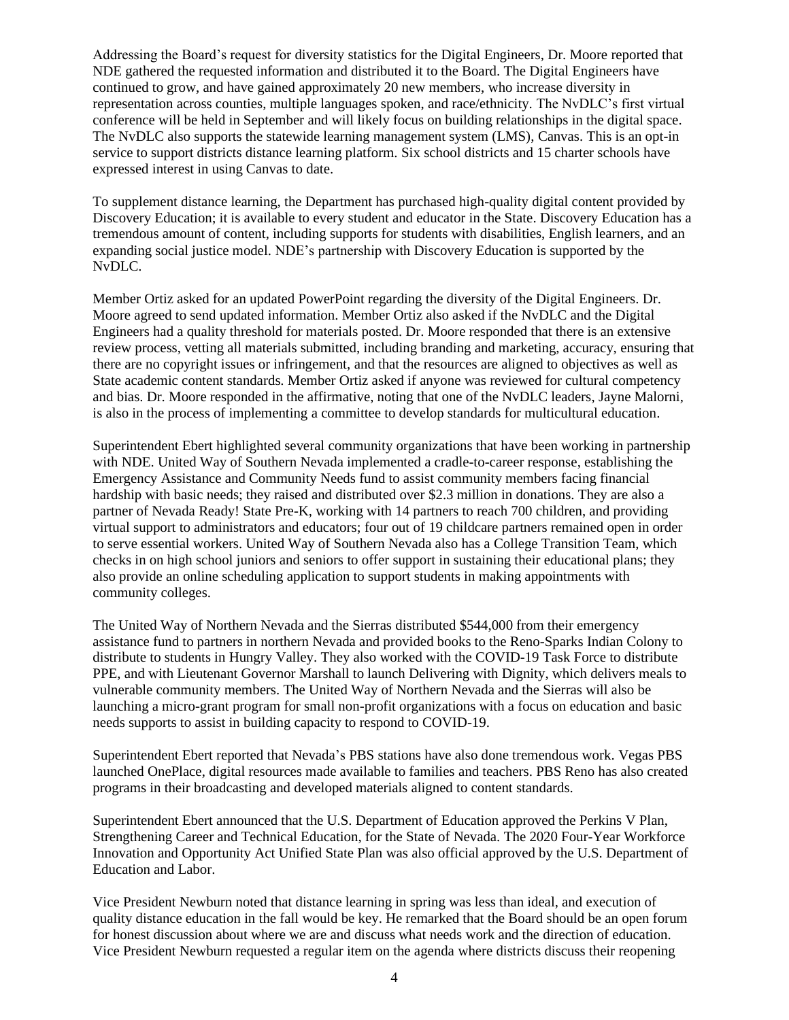Addressing the Board's request for diversity statistics for the Digital Engineers, Dr. Moore reported that NDE gathered the requested information and distributed it to the Board. The Digital Engineers have continued to grow, and have gained approximately 20 new members, who increase diversity in representation across counties, multiple languages spoken, and race/ethnicity. The NvDLC's first virtual conference will be held in September and will likely focus on building relationships in the digital space. The NvDLC also supports the statewide learning management system (LMS), Canvas. This is an opt-in service to support districts distance learning platform. Six school districts and 15 charter schools have expressed interest in using Canvas to date.

To supplement distance learning, the Department has purchased high-quality digital content provided by Discovery Education; it is available to every student and educator in the State. Discovery Education has a tremendous amount of content, including supports for students with disabilities, English learners, and an expanding social justice model. NDE's partnership with Discovery Education is supported by the NvDLC.

Member Ortiz asked for an updated PowerPoint regarding the diversity of the Digital Engineers. Dr. Moore agreed to send updated information. Member Ortiz also asked if the NvDLC and the Digital Engineers had a quality threshold for materials posted. Dr. Moore responded that there is an extensive review process, vetting all materials submitted, including branding and marketing, accuracy, ensuring that there are no copyright issues or infringement, and that the resources are aligned to objectives as well as State academic content standards. Member Ortiz asked if anyone was reviewed for cultural competency and bias. Dr. Moore responded in the affirmative, noting that one of the NvDLC leaders, Jayne Malorni, is also in the process of implementing a committee to develop standards for multicultural education.

Superintendent Ebert highlighted several community organizations that have been working in partnership with NDE. United Way of Southern Nevada implemented a cradle-to-career response, establishing the Emergency Assistance and Community Needs fund to assist community members facing financial hardship with basic needs; they raised and distributed over \$2.3 million in donations. They are also a partner of Nevada Ready! State Pre-K, working with 14 partners to reach 700 children, and providing virtual support to administrators and educators; four out of 19 childcare partners remained open in order to serve essential workers. United Way of Southern Nevada also has a College Transition Team, which checks in on high school juniors and seniors to offer support in sustaining their educational plans; they also provide an online scheduling application to support students in making appointments with community colleges.

The United Way of Northern Nevada and the Sierras distributed \$544,000 from their emergency assistance fund to partners in northern Nevada and provided books to the Reno-Sparks Indian Colony to distribute to students in Hungry Valley. They also worked with the COVID-19 Task Force to distribute PPE, and with Lieutenant Governor Marshall to launch Delivering with Dignity, which delivers meals to vulnerable community members. The United Way of Northern Nevada and the Sierras will also be launching a micro-grant program for small non-profit organizations with a focus on education and basic needs supports to assist in building capacity to respond to COVID-19.

Superintendent Ebert reported that Nevada's PBS stations have also done tremendous work. Vegas PBS launched OnePlace, digital resources made available to families and teachers. PBS Reno has also created programs in their broadcasting and developed materials aligned to content standards.

Superintendent Ebert announced that the U.S. Department of Education approved the Perkins V Plan, Strengthening Career and Technical Education, for the State of Nevada. The 2020 Four-Year Workforce Innovation and Opportunity Act Unified State Plan was also official approved by the U.S. Department of Education and Labor.

Vice President Newburn noted that distance learning in spring was less than ideal, and execution of quality distance education in the fall would be key. He remarked that the Board should be an open forum for honest discussion about where we are and discuss what needs work and the direction of education. Vice President Newburn requested a regular item on the agenda where districts discuss their reopening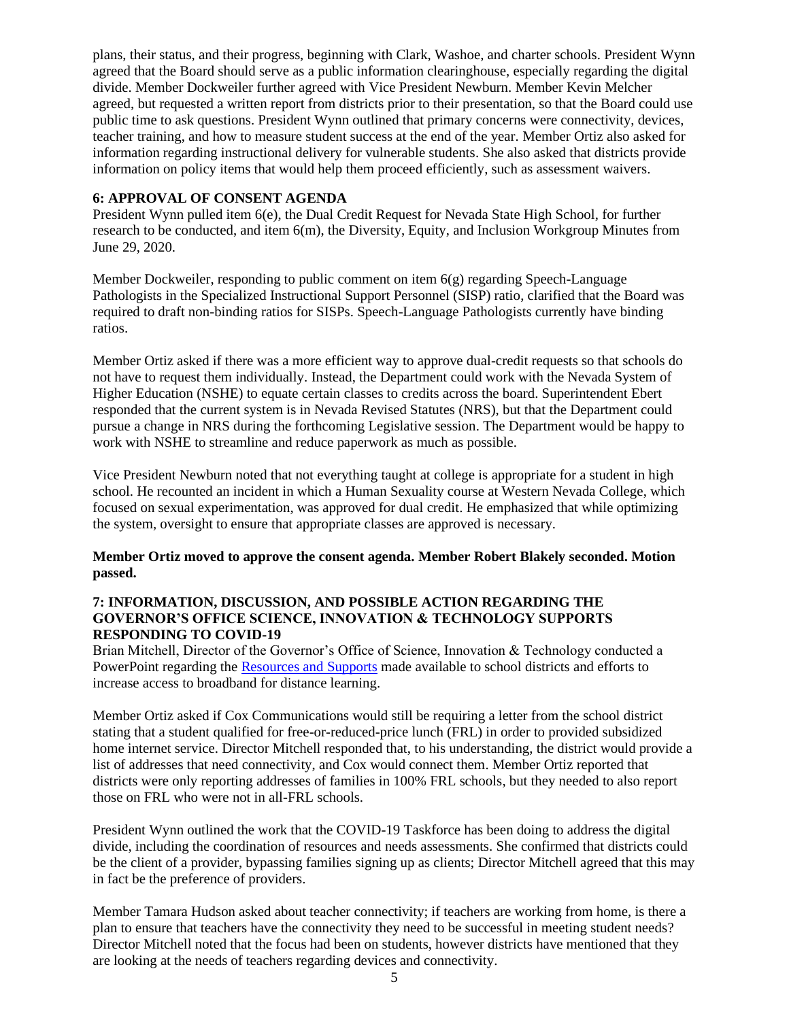plans, their status, and their progress, beginning with Clark, Washoe, and charter schools. President Wynn agreed that the Board should serve as a public information clearinghouse, especially regarding the digital divide. Member Dockweiler further agreed with Vice President Newburn. Member Kevin Melcher agreed, but requested a written report from districts prior to their presentation, so that the Board could use public time to ask questions. President Wynn outlined that primary concerns were connectivity, devices, teacher training, and how to measure student success at the end of the year. Member Ortiz also asked for information regarding instructional delivery for vulnerable students. She also asked that districts provide information on policy items that would help them proceed efficiently, such as assessment waivers.

### **6: APPROVAL OF CONSENT AGENDA**

President Wynn pulled item 6(e), the Dual Credit Request for Nevada State High School, for further research to be conducted, and item 6(m), the Diversity, Equity, and Inclusion Workgroup Minutes from June 29, 2020.

Member Dockweiler, responding to public comment on item 6(g) regarding Speech-Language Pathologists in the Specialized Instructional Support Personnel (SISP) ratio, clarified that the Board was required to draft non-binding ratios for SISPs. Speech-Language Pathologists currently have binding ratios.

Member Ortiz asked if there was a more efficient way to approve dual-credit requests so that schools do not have to request them individually. Instead, the Department could work with the Nevada System of Higher Education (NSHE) to equate certain classes to credits across the board. Superintendent Ebert responded that the current system is in Nevada Revised Statutes (NRS), but that the Department could pursue a change in NRS during the forthcoming Legislative session. The Department would be happy to work with NSHE to streamline and reduce paperwork as much as possible.

Vice President Newburn noted that not everything taught at college is appropriate for a student in high school. He recounted an incident in which a Human Sexuality course at Western Nevada College, which focused on sexual experimentation, was approved for dual credit. He emphasized that while optimizing the system, oversight to ensure that appropriate classes are approved is necessary.

### **Member Ortiz moved to approve the consent agenda. Member Robert Blakely seconded. Motion passed.**

### **7: INFORMATION, DISCUSSION, AND POSSIBLE ACTION REGARDING THE GOVERNOR'S OFFICE SCIENCE, INNOVATION & TECHNOLOGY SUPPORTS RESPONDING TO COVID-19**

Brian Mitchell, Director of the Governor's Office of Science, Innovation & Technology conducted a PowerPoint regarding the [Resources and Supports](http://nde.doe.staging.nv.gov/Boards_Commissions_Councils/State_Board_of_Education/2020/July/Support_Materials/) made available to school districts and efforts to increase access to broadband for distance learning.

Member Ortiz asked if Cox Communications would still be requiring a letter from the school district stating that a student qualified for free-or-reduced-price lunch (FRL) in order to provided subsidized home internet service. Director Mitchell responded that, to his understanding, the district would provide a list of addresses that need connectivity, and Cox would connect them. Member Ortiz reported that districts were only reporting addresses of families in 100% FRL schools, but they needed to also report those on FRL who were not in all-FRL schools.

President Wynn outlined the work that the COVID-19 Taskforce has been doing to address the digital divide, including the coordination of resources and needs assessments. She confirmed that districts could be the client of a provider, bypassing families signing up as clients; Director Mitchell agreed that this may in fact be the preference of providers.

Member Tamara Hudson asked about teacher connectivity; if teachers are working from home, is there a plan to ensure that teachers have the connectivity they need to be successful in meeting student needs? Director Mitchell noted that the focus had been on students, however districts have mentioned that they are looking at the needs of teachers regarding devices and connectivity.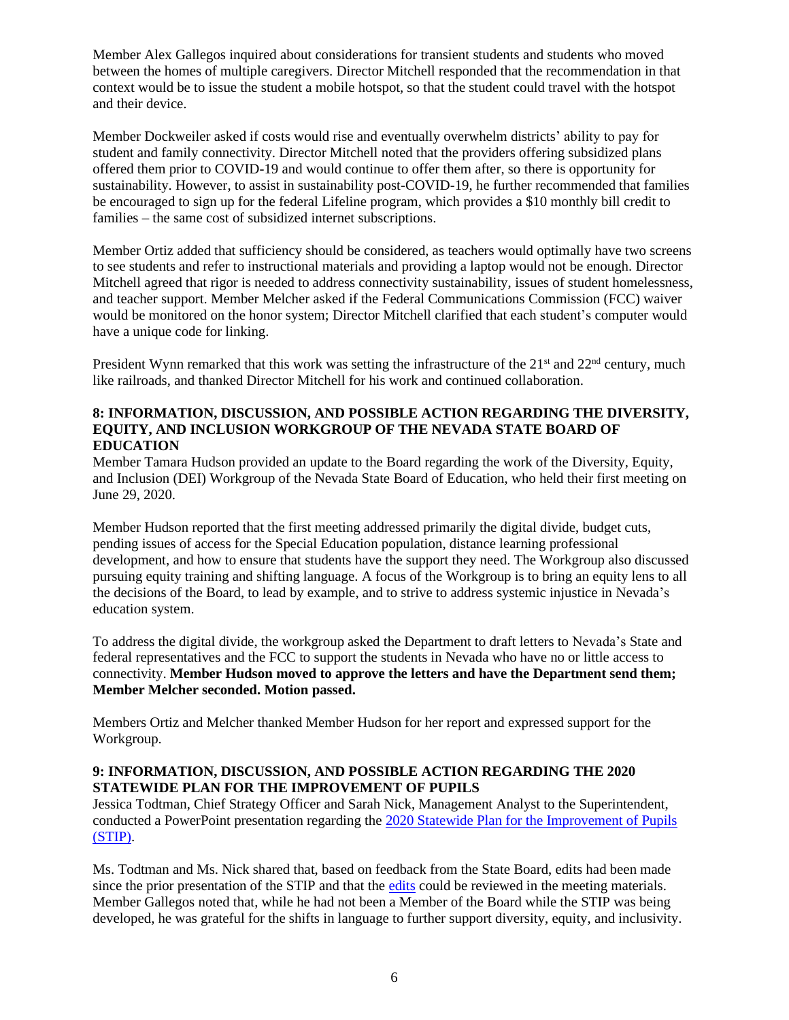Member Alex Gallegos inquired about considerations for transient students and students who moved between the homes of multiple caregivers. Director Mitchell responded that the recommendation in that context would be to issue the student a mobile hotspot, so that the student could travel with the hotspot and their device.

Member Dockweiler asked if costs would rise and eventually overwhelm districts' ability to pay for student and family connectivity. Director Mitchell noted that the providers offering subsidized plans offered them prior to COVID-19 and would continue to offer them after, so there is opportunity for sustainability. However, to assist in sustainability post-COVID-19, he further recommended that families be encouraged to sign up for the federal Lifeline program, which provides a \$10 monthly bill credit to families – the same cost of subsidized internet subscriptions.

Member Ortiz added that sufficiency should be considered, as teachers would optimally have two screens to see students and refer to instructional materials and providing a laptop would not be enough. Director Mitchell agreed that rigor is needed to address connectivity sustainability, issues of student homelessness, and teacher support. Member Melcher asked if the Federal Communications Commission (FCC) waiver would be monitored on the honor system; Director Mitchell clarified that each student's computer would have a unique code for linking.

President Wynn remarked that this work was setting the infrastructure of the  $21<sup>st</sup>$  and  $22<sup>nd</sup>$  century, much like railroads, and thanked Director Mitchell for his work and continued collaboration.

### **8: INFORMATION, DISCUSSION, AND POSSIBLE ACTION REGARDING THE DIVERSITY, EQUITY, AND INCLUSION WORKGROUP OF THE NEVADA STATE BOARD OF EDUCATION**

Member Tamara Hudson provided an update to the Board regarding the work of the Diversity, Equity, and Inclusion (DEI) Workgroup of the Nevada State Board of Education, who held their first meeting on June 29, 2020.

Member Hudson reported that the first meeting addressed primarily the digital divide, budget cuts, pending issues of access for the Special Education population, distance learning professional development, and how to ensure that students have the support they need. The Workgroup also discussed pursuing equity training and shifting language. A focus of the Workgroup is to bring an equity lens to all the decisions of the Board, to lead by example, and to strive to address systemic injustice in Nevada's education system.

To address the digital divide, the workgroup asked the Department to draft letters to Nevada's State and federal representatives and the FCC to support the students in Nevada who have no or little access to connectivity. **Member Hudson moved to approve the letters and have the Department send them; Member Melcher seconded. Motion passed.**

Members Ortiz and Melcher thanked Member Hudson for her report and expressed support for the Workgroup.

#### **9: INFORMATION, DISCUSSION, AND POSSIBLE ACTION REGARDING THE 2020 STATEWIDE PLAN FOR THE IMPROVEMENT OF PUPILS**

Jessica Todtman, Chief Strategy Officer and Sarah Nick, Management Analyst to the Superintendent, conducted a PowerPoint presentation regarding the [2020 Statewide Plan for the Improvement of Pupils](http://nde.doe.staging.nv.gov/Boards_Commissions_Councils/State_Board_of_Education/2020/July/Support_Materials/) (STIP).

Ms. Todtman and Ms. Nick shared that, based on feedback from the State Board, edits had been made since the prior presentation of the STIP and that the **edits** could be reviewed in the meeting materials. Member Gallegos noted that, while he had not been a Member of the Board while the STIP was being developed, he was grateful for the shifts in language to further support diversity, equity, and inclusivity.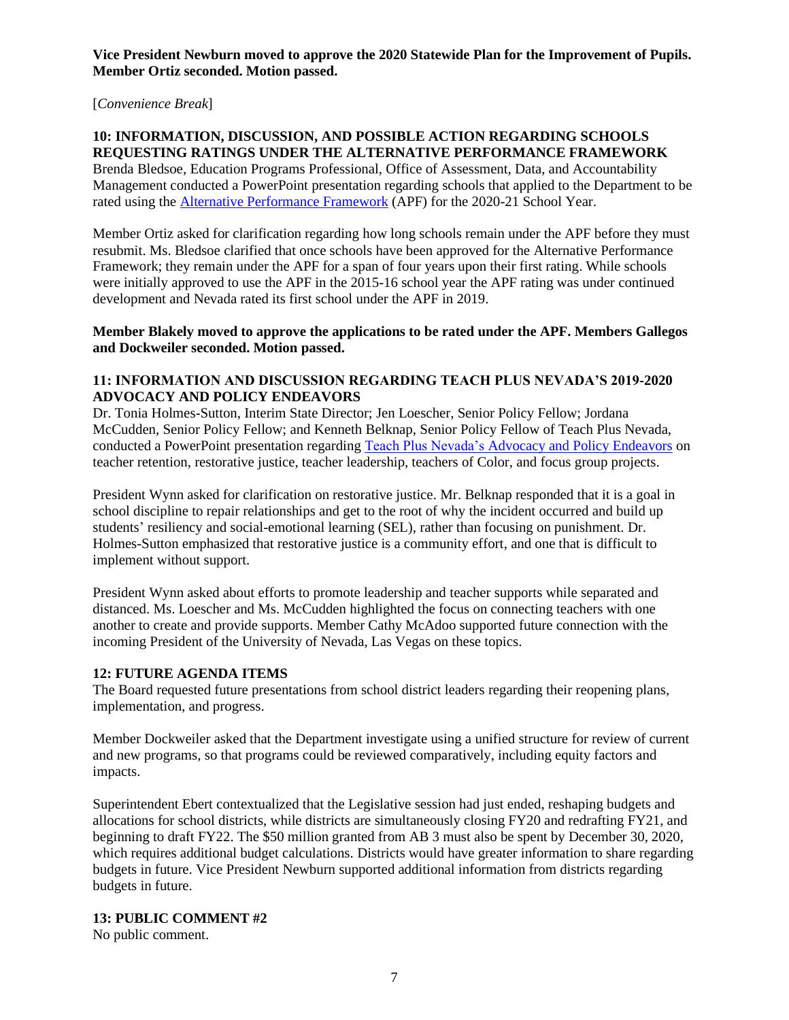**Vice President Newburn moved to approve the 2020 Statewide Plan for the Improvement of Pupils. Member Ortiz seconded. Motion passed.** 

[*Convenience Break*]

#### **10: INFORMATION, DISCUSSION, AND POSSIBLE ACTION REGARDING SCHOOLS REQUESTING RATINGS UNDER THE ALTERNATIVE PERFORMANCE FRAMEWORK**

Brenda Bledsoe, Education Programs Professional, Office of Assessment, Data, and Accountability Management conducted a PowerPoint presentation regarding schools that applied to the Department to be rated using the [Alternative Performance Framework](http://nde.doe.staging.nv.gov/uploadedFiles/ndedoenvgov/content/Boards_Commissions_Councils/State_Board_of_Education/2020/July/APF_SBE_7-23-2020%20.pdf) (APF) for the 2020-21 School Year.

Member Ortiz asked for clarification regarding how long schools remain under the APF before they must resubmit. Ms. Bledsoe clarified that once schools have been approved for the Alternative Performance Framework; they remain under the APF for a span of four years upon their first rating. While schools were initially approved to use the APF in the 2015-16 school year the APF rating was under continued development and Nevada rated its first school under the APF in 2019.

**Member Blakely moved to approve the applications to be rated under the APF. Members Gallegos and Dockweiler seconded. Motion passed.** 

#### **11: INFORMATION AND DISCUSSION REGARDING TEACH PLUS NEVADA'S 2019-2020 ADVOCACY AND POLICY ENDEAVORS**

Dr. Tonia Holmes-Sutton, Interim State Director; Jen Loescher, Senior Policy Fellow; Jordana McCudden, Senior Policy Fellow; and Kenneth Belknap, Senior Policy Fellow of Teach Plus Nevada, conducted a PowerPoint presentation regarding [Teach Plus Nevada's Advocacy and Policy Endeavors](http://nde.doe.staging.nv.gov/uploadedFiles/ndedoenvgov/content/Boards_Commissions_Councils/State_Board_of_Education/2020/July/TeachPlusNevadaPresentation_NVSBOE.pdf) on teacher retention, restorative justice, teacher leadership, teachers of Color, and focus group projects.

President Wynn asked for clarification on restorative justice. Mr. Belknap responded that it is a goal in school discipline to repair relationships and get to the root of why the incident occurred and build up students' resiliency and social-emotional learning (SEL), rather than focusing on punishment. Dr. Holmes-Sutton emphasized that restorative justice is a community effort, and one that is difficult to implement without support.

President Wynn asked about efforts to promote leadership and teacher supports while separated and distanced. Ms. Loescher and Ms. McCudden highlighted the focus on connecting teachers with one another to create and provide supports. Member Cathy McAdoo supported future connection with the incoming President of the University of Nevada, Las Vegas on these topics.

# **12: FUTURE AGENDA ITEMS**

The Board requested future presentations from school district leaders regarding their reopening plans, implementation, and progress.

Member Dockweiler asked that the Department investigate using a unified structure for review of current and new programs, so that programs could be reviewed comparatively, including equity factors and impacts.

Superintendent Ebert contextualized that the Legislative session had just ended, reshaping budgets and allocations for school districts, while districts are simultaneously closing FY20 and redrafting FY21, and beginning to draft FY22. The \$50 million granted from AB 3 must also be spent by December 30, 2020, which requires additional budget calculations. Districts would have greater information to share regarding budgets in future. Vice President Newburn supported additional information from districts regarding budgets in future.

#### **13: PUBLIC COMMENT #2**

No public comment.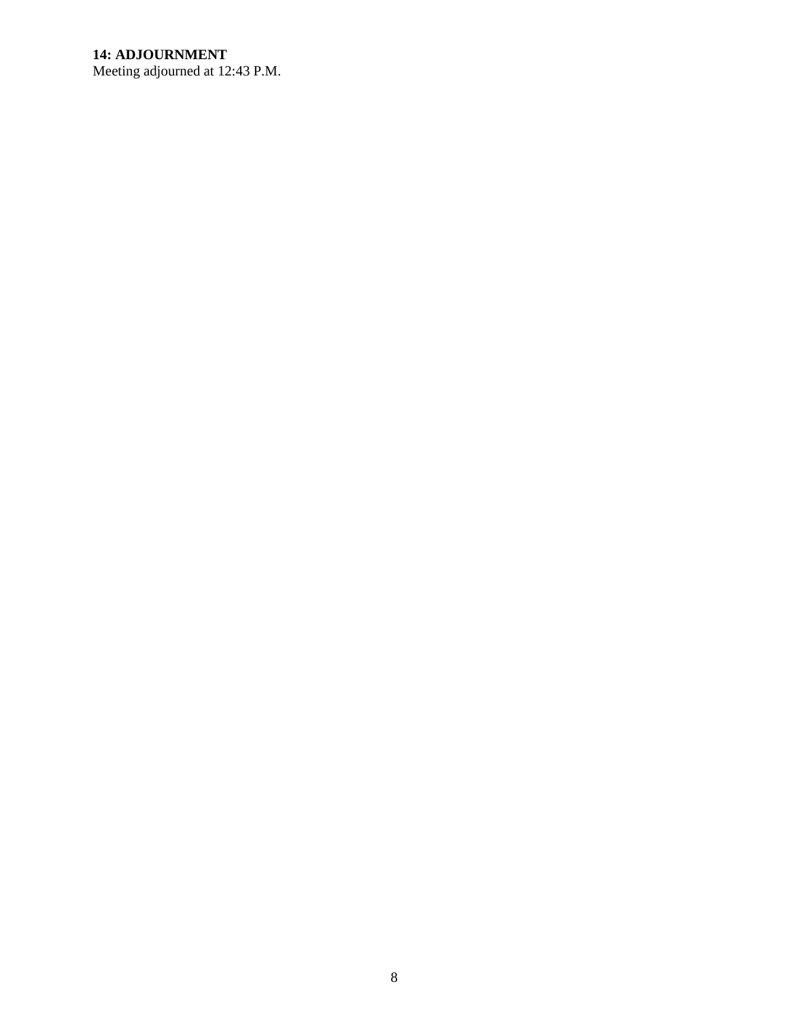# **14: ADJOURNMENT**

Meeting adjourned at 12:43 P.M.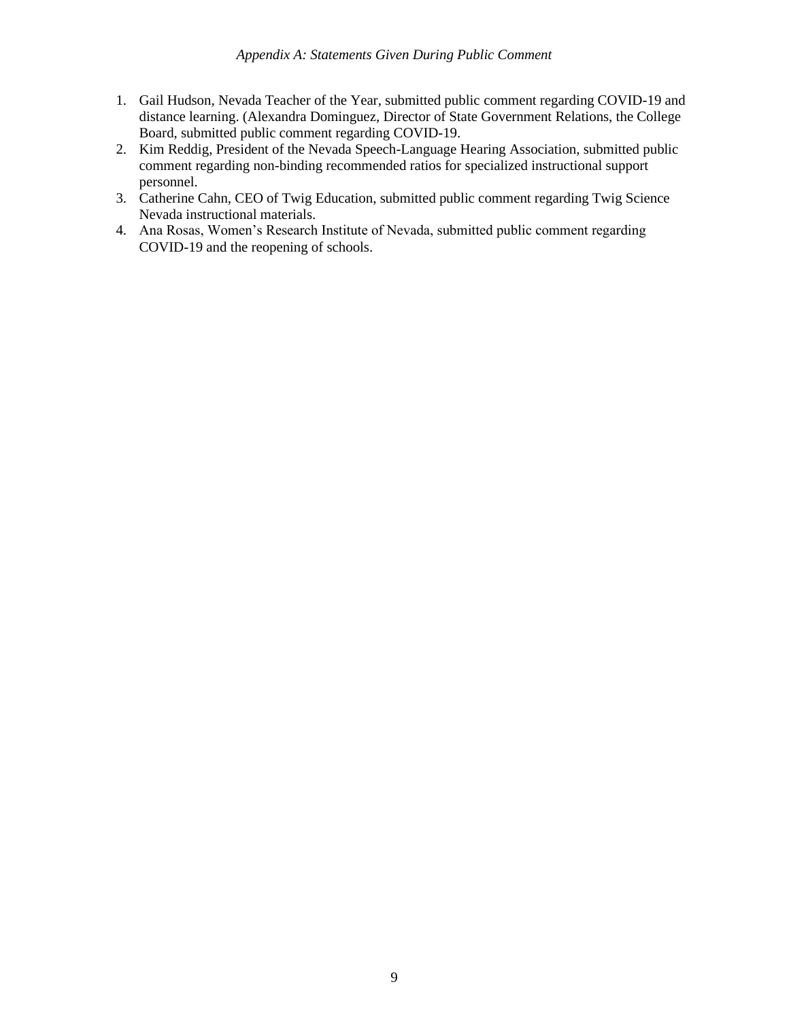- 1. Gail Hudson, Nevada Teacher of the Year, submitted public comment regarding COVID-19 and distance learning. (Alexandra Dominguez, Director of State Government Relations, the College Board, submitted public comment regarding COVID-19.
- 2. Kim Reddig, President of the Nevada Speech-Language Hearing Association, submitted public comment regarding non-binding recommended ratios for specialized instructional support personnel.
- 3. Catherine Cahn, CEO of Twig Education, submitted public comment regarding Twig Science Nevada instructional materials.
- 4. Ana Rosas, Women's Research Institute of Nevada, submitted public comment regarding COVID-19 and the reopening of schools.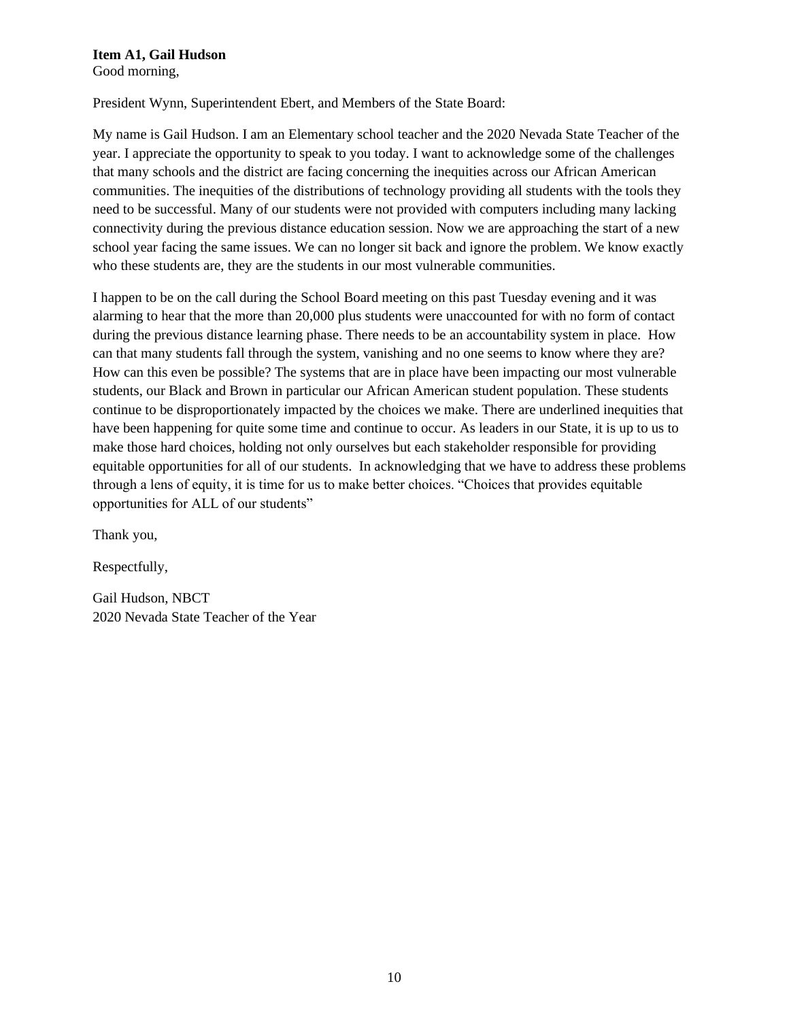# **Item A1, Gail Hudson**

Good morning,

President Wynn, Superintendent Ebert, and Members of the State Board:

My name is Gail Hudson. I am an Elementary school teacher and the 2020 Nevada State Teacher of the year. I appreciate the opportunity to speak to you today. I want to acknowledge some of the challenges that many schools and the district are facing concerning the inequities across our African American communities. The inequities of the distributions of technology providing all students with the tools they need to be successful. Many of our students were not provided with computers including many lacking connectivity during the previous distance education session. Now we are approaching the start of a new school year facing the same issues. We can no longer sit back and ignore the problem. We know exactly who these students are, they are the students in our most vulnerable communities.

I happen to be on the call during the School Board meeting on this past Tuesday evening and it was alarming to hear that the more than 20,000 plus students were unaccounted for with no form of contact during the previous distance learning phase. There needs to be an accountability system in place. How can that many students fall through the system, vanishing and no one seems to know where they are? How can this even be possible? The systems that are in place have been impacting our most vulnerable students, our Black and Brown in particular our African American student population. These students continue to be disproportionately impacted by the choices we make. There are underlined inequities that have been happening for quite some time and continue to occur. As leaders in our State, it is up to us to make those hard choices, holding not only ourselves but each stakeholder responsible for providing equitable opportunities for all of our students. In acknowledging that we have to address these problems through a lens of equity, it is time for us to make better choices. "Choices that provides equitable opportunities for ALL of our students"

Thank you,

Respectfully,

Gail Hudson, NBCT 2020 Nevada State Teacher of the Year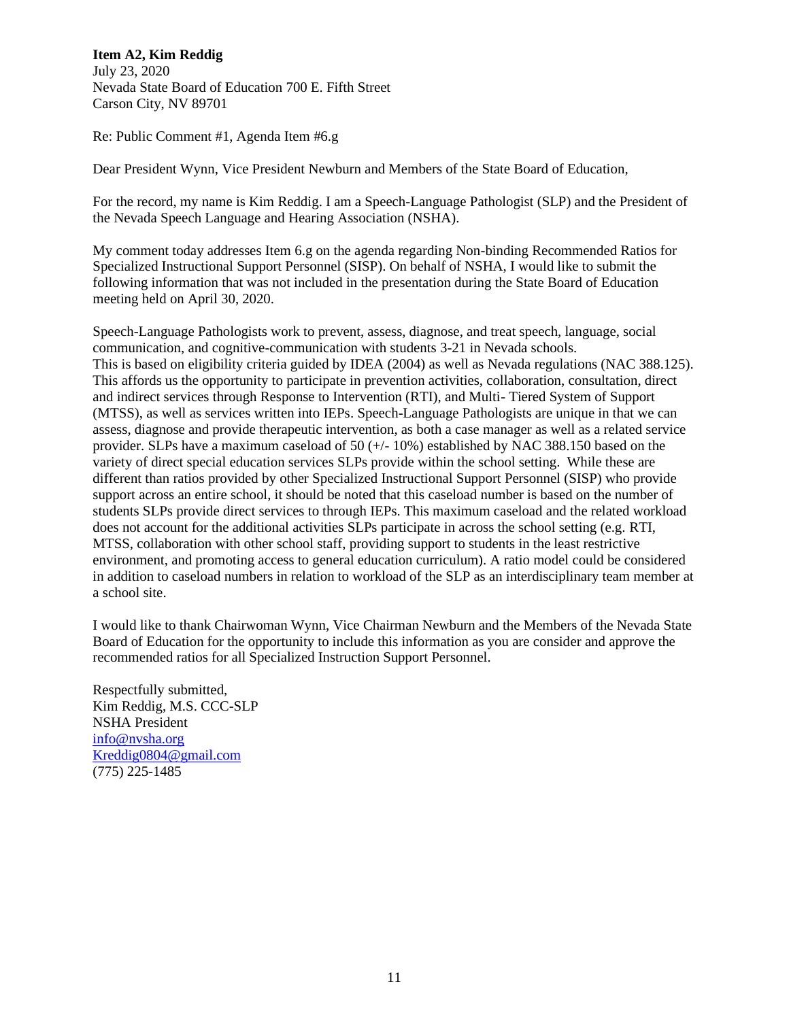# **Item A2, Kim Reddig**

July 23, 2020 Nevada State Board of Education 700 E. Fifth Street Carson City, NV 89701

Re: Public Comment #1, Agenda Item #6.g

Dear President Wynn, Vice President Newburn and Members of the State Board of Education,

For the record, my name is Kim Reddig. I am a Speech-Language Pathologist (SLP) and the President of the Nevada Speech Language and Hearing Association (NSHA).

My comment today addresses Item 6.g on the agenda regarding Non-binding Recommended Ratios for Specialized Instructional Support Personnel (SISP). On behalf of NSHA, I would like to submit the following information that was not included in the presentation during the State Board of Education meeting held on April 30, 2020.

Speech-Language Pathologists work to prevent, assess, diagnose, and treat speech, language, social communication, and cognitive-communication with students 3-21 in Nevada schools. This is based on eligibility criteria guided by IDEA (2004) as well as Nevada regulations (NAC 388.125). This affords us the opportunity to participate in prevention activities, collaboration, consultation, direct and indirect services through Response to Intervention (RTI), and Multi- Tiered System of Support (MTSS), as well as services written into IEPs. Speech-Language Pathologists are unique in that we can assess, diagnose and provide therapeutic intervention, as both a case manager as well as a related service provider. SLPs have a maximum caseload of 50 (+/- 10%) established by NAC 388.150 based on the variety of direct special education services SLPs provide within the school setting. While these are different than ratios provided by other Specialized Instructional Support Personnel (SISP) who provide support across an entire school, it should be noted that this caseload number is based on the number of students SLPs provide direct services to through IEPs. This maximum caseload and the related workload does not account for the additional activities SLPs participate in across the school setting (e.g. RTI, MTSS, collaboration with other school staff, providing support to students in the least restrictive environment, and promoting access to general education curriculum). A ratio model could be considered in addition to caseload numbers in relation to workload of the SLP as an interdisciplinary team member at a school site.

I would like to thank Chairwoman Wynn, Vice Chairman Newburn and the Members of the Nevada State Board of Education for the opportunity to include this information as you are consider and approve the recommended ratios for all Specialized Instruction Support Personnel.

Respectfully submitted, Kim Reddig, M.S. CCC-SLP NSHA President [info@nvsha.org](mailto:info@nvsha.org) [Kreddig0804@gmail.com](mailto:Kreddig0804@gmail.com) (775) 225-1485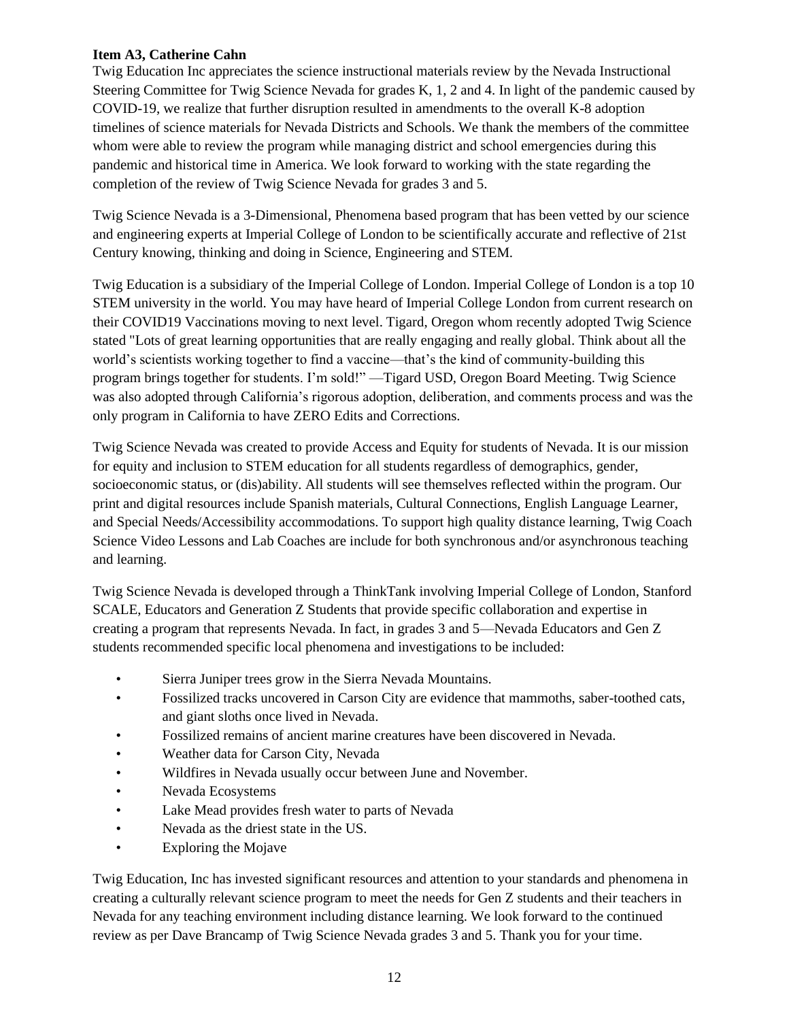# **Item A3, Catherine Cahn**

Twig Education Inc appreciates the science instructional materials review by the Nevada Instructional Steering Committee for Twig Science Nevada for grades K, 1, 2 and 4. In light of the pandemic caused by COVID-19, we realize that further disruption resulted in amendments to the overall K-8 adoption timelines of science materials for Nevada Districts and Schools. We thank the members of the committee whom were able to review the program while managing district and school emergencies during this pandemic and historical time in America. We look forward to working with the state regarding the completion of the review of Twig Science Nevada for grades 3 and 5.

Twig Science Nevada is a 3-Dimensional, Phenomena based program that has been vetted by our science and engineering experts at Imperial College of London to be scientifically accurate and reflective of 21st Century knowing, thinking and doing in Science, Engineering and STEM.

Twig Education is a subsidiary of the Imperial College of London. Imperial College of London is a top 10 STEM university in the world. You may have heard of Imperial College London from current research on their COVID19 Vaccinations moving to next level. Tigard, Oregon whom recently adopted Twig Science stated "Lots of great learning opportunities that are really engaging and really global. Think about all the world's scientists working together to find a vaccine—that's the kind of community-building this program brings together for students. I'm sold!" —Tigard USD, Oregon Board Meeting. Twig Science was also adopted through California's rigorous adoption, deliberation, and comments process and was the only program in California to have ZERO Edits and Corrections.

Twig Science Nevada was created to provide Access and Equity for students of Nevada. It is our mission for equity and inclusion to STEM education for all students regardless of demographics, gender, socioeconomic status, or (dis)ability. All students will see themselves reflected within the program. Our print and digital resources include Spanish materials, Cultural Connections, English Language Learner, and Special Needs/Accessibility accommodations. To support high quality distance learning, Twig Coach Science Video Lessons and Lab Coaches are include for both synchronous and/or asynchronous teaching and learning.

Twig Science Nevada is developed through a ThinkTank involving Imperial College of London, Stanford SCALE, Educators and Generation Z Students that provide specific collaboration and expertise in creating a program that represents Nevada. In fact, in grades 3 and 5—Nevada Educators and Gen Z students recommended specific local phenomena and investigations to be included:

- Sierra Juniper trees grow in the Sierra Nevada Mountains.
- Fossilized tracks uncovered in Carson City are evidence that mammoths, saber-toothed cats, and giant sloths once lived in Nevada.
- Fossilized remains of ancient marine creatures have been discovered in Nevada.
- Weather data for Carson City, Nevada
- Wildfires in Nevada usually occur between June and November.
- Nevada Ecosystems
- Lake Mead provides fresh water to parts of Nevada
- Nevada as the driest state in the US.
- Exploring the Mojave

Twig Education, Inc has invested significant resources and attention to your standards and phenomena in creating a culturally relevant science program to meet the needs for Gen Z students and their teachers in Nevada for any teaching environment including distance learning. We look forward to the continued review as per Dave Brancamp of Twig Science Nevada grades 3 and 5. Thank you for your time.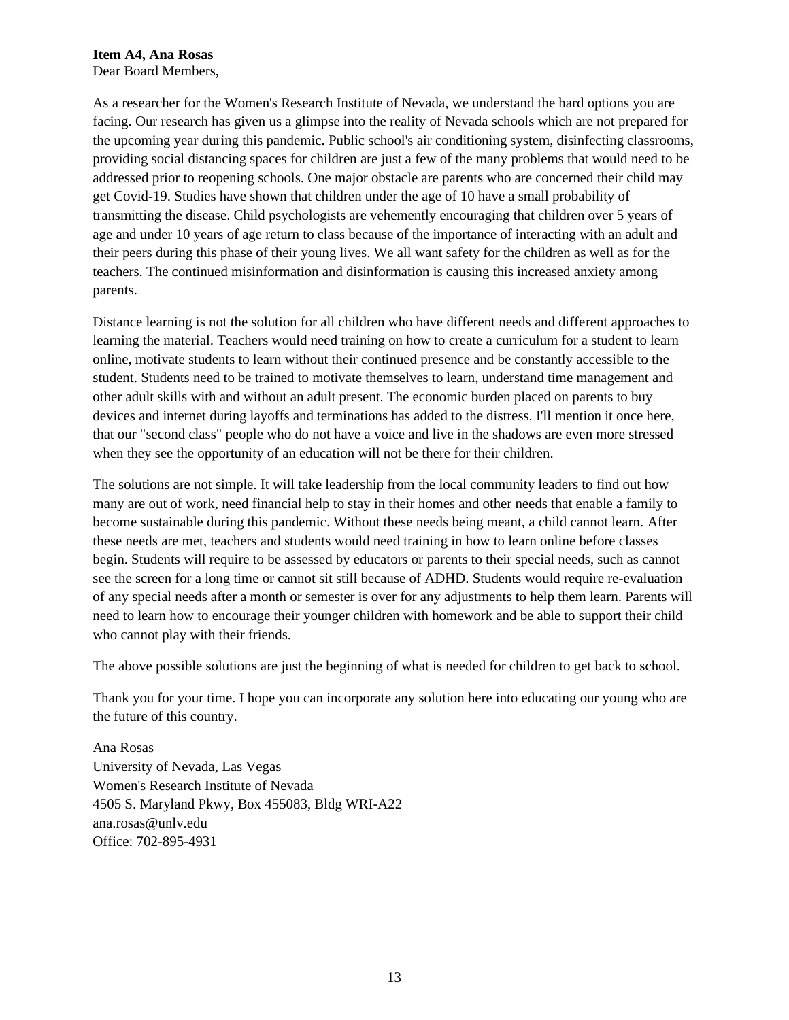**Item A4, Ana Rosas**

Dear Board Members,

As a researcher for the Women's Research Institute of Nevada, we understand the hard options you are facing. Our research has given us a glimpse into the reality of Nevada schools which are not prepared for the upcoming year during this pandemic. Public school's air conditioning system, disinfecting classrooms, providing social distancing spaces for children are just a few of the many problems that would need to be addressed prior to reopening schools. One major obstacle are parents who are concerned their child may get Covid-19. Studies have shown that children under the age of 10 have a small probability of transmitting the disease. Child psychologists are vehemently encouraging that children over 5 years of age and under 10 years of age return to class because of the importance of interacting with an adult and their peers during this phase of their young lives. We all want safety for the children as well as for the teachers. The continued misinformation and disinformation is causing this increased anxiety among parents.

Distance learning is not the solution for all children who have different needs and different approaches to learning the material. Teachers would need training on how to create a curriculum for a student to learn online, motivate students to learn without their continued presence and be constantly accessible to the student. Students need to be trained to motivate themselves to learn, understand time management and other adult skills with and without an adult present. The economic burden placed on parents to buy devices and internet during layoffs and terminations has added to the distress. I'll mention it once here, that our "second class" people who do not have a voice and live in the shadows are even more stressed when they see the opportunity of an education will not be there for their children.

The solutions are not simple. It will take leadership from the local community leaders to find out how many are out of work, need financial help to stay in their homes and other needs that enable a family to become sustainable during this pandemic. Without these needs being meant, a child cannot learn. After these needs are met, teachers and students would need training in how to learn online before classes begin. Students will require to be assessed by educators or parents to their special needs, such as cannot see the screen for a long time or cannot sit still because of ADHD. Students would require re-evaluation of any special needs after a month or semester is over for any adjustments to help them learn. Parents will need to learn how to encourage their younger children with homework and be able to support their child who cannot play with their friends.

The above possible solutions are just the beginning of what is needed for children to get back to school.

Thank you for your time. I hope you can incorporate any solution here into educating our young who are the future of this country.

Ana Rosas University of Nevada, Las Vegas Women's Research Institute of Nevada 4505 S. Maryland Pkwy, Box 455083, Bldg WRI-A22 ana.rosas@unlv.edu Office: 702-895-4931